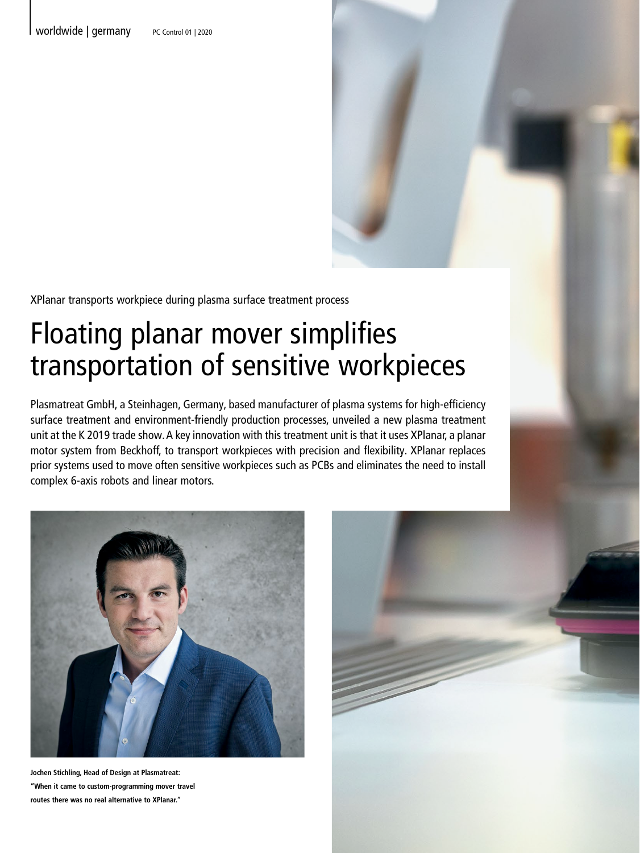XPlanar transports workpiece during plasma surface treatment process

# Floating planar mover simplifies transportation of sensitive workpieces

Plasmatreat GmbH, a Steinhagen, Germany, based manufacturer of plasma systems for high-efficiency surface treatment and environment-friendly production processes, unveiled a new plasma treatment unit at the K 2019 trade show. A key innovation with this treatment unit is that it uses XPlanar, a planar motor system from Beckhoff, to transport workpieces with precision and flexibility. XPlanar replaces prior systems used to move often sensitive workpieces such as PCBs and eliminates the need to install complex 6-axis robots and linear motors.



**Jochen Stichling, Head of Design at Plasmatreat: "When it came to custom-programming mover travel routes there was no real alternative to XPlanar."** 

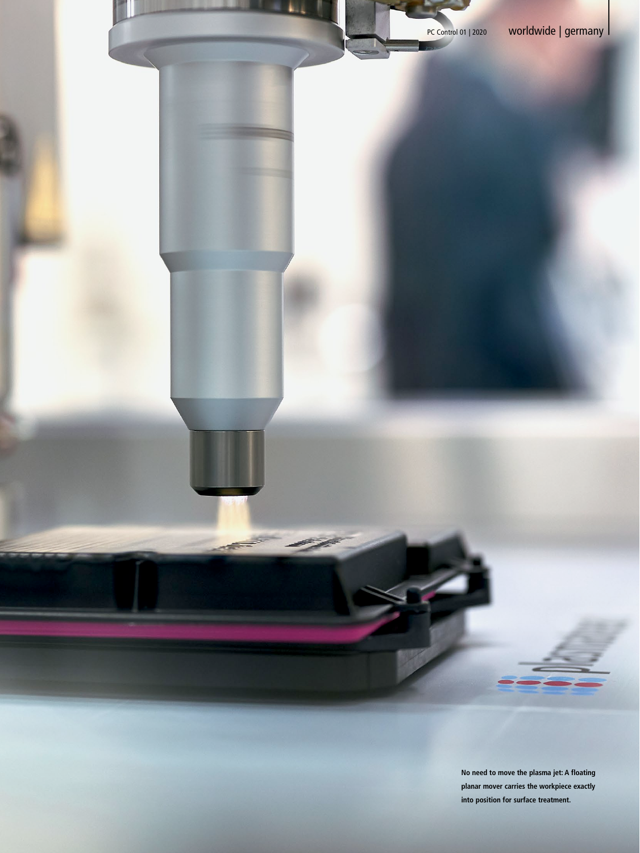

**No need to move the plasma jet: A floating planar mover carries the workpiece exactly into position for surface treatment.**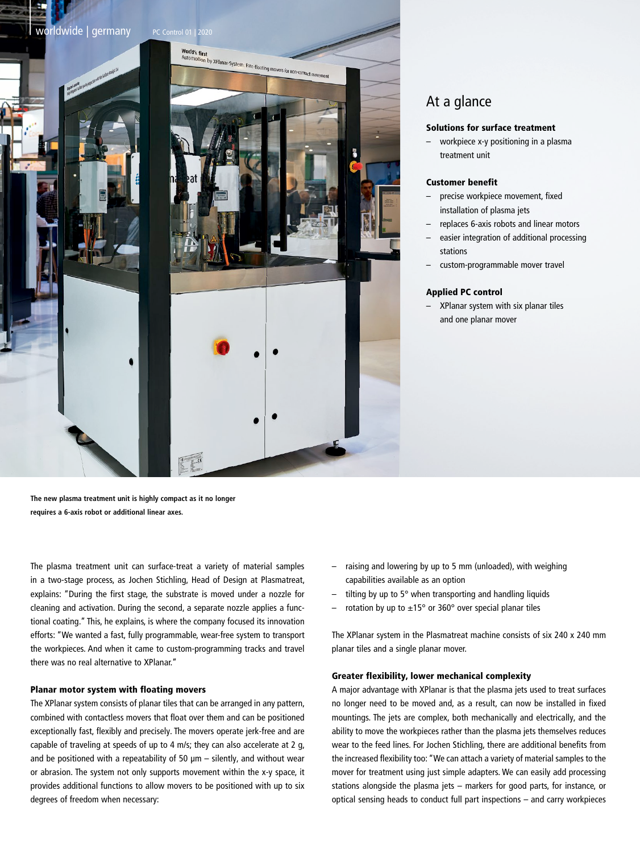

# At a glance

## Solutions for surface treatment

– workpiece x-y positioning in a plasma treatment unit

## Customer benefit

- precise workpiece movement, fixed installation of plasma jets
- replaces 6-axis robots and linear motors
- easier integration of additional processing stations
- custom-programmable mover travel

#### Applied PC control

– XPlanar system with six planar tiles and one planar mover

**The new plasma treatment unit is highly compact as it no longer requires a 6-axis robot or additional linear axes.**

The plasma treatment unit can surface-treat a variety of material samples in a two-stage process, as Jochen Stichling, Head of Design at Plasmatreat, explains: "During the first stage, the substrate is moved under a nozzle for cleaning and activation. During the second, a separate nozzle applies a functional coating." This, he explains, is where the company focused its innovation efforts: "We wanted a fast, fully programmable, wear-free system to transport the workpieces. And when it came to custom-programming tracks and travel there was no real alternative to XPlanar."

## Planar motor system with floating movers

The XPlanar system consists of planar tiles that can be arranged in any pattern, combined with contactless movers that float over them and can be positioned exceptionally fast, flexibly and precisely. The movers operate jerk-free and are capable of traveling at speeds of up to 4 m/s; they can also accelerate at 2 g, and be positioned with a repeatability of 50  $\mu$ m – silently, and without wear or abrasion. The system not only supports movement within the x-y space, it provides additional functions to allow movers to be positioned with up to six degrees of freedom when necessary:

- raising and lowering by up to 5 mm (unloaded), with weighing capabilities available as an option
- tilting by up to  $5^\circ$  when transporting and handling liquids
- rotation by up to  $\pm 15^{\circ}$  or 360° over special planar tiles

The XPlanar system in the Plasmatreat machine consists of six 240 x 240 mm planar tiles and a single planar mover.

#### Greater flexibility, lower mechanical complexity

A major advantage with XPlanar is that the plasma jets used to treat surfaces no longer need to be moved and, as a result, can now be installed in fixed mountings. The jets are complex, both mechanically and electrically, and the ability to move the workpieces rather than the plasma jets themselves reduces wear to the feed lines. For Jochen Stichling, there are additional benefits from the increased flexibility too: "We can attach a variety of material samples to the mover for treatment using just simple adapters. We can easily add processing stations alongside the plasma jets – markers for good parts, for instance, or optical sensing heads to conduct full part inspections – and carry workpieces